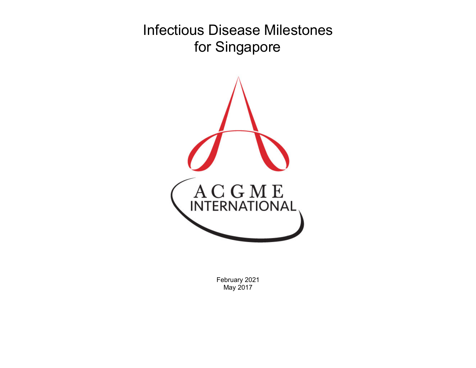Infectious Disease Milestones for Singapore



February 2021 May 2017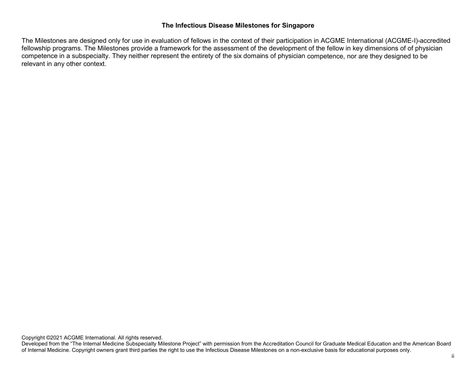## **The Infectious Disease Milestones for Singapore**

The Milestones are designed only for use in evaluation of fellows in the context of their participation in ACGME International (ACGME-I)-accredited fellowship programs. The Milestones provide a framework for the assessment of the development of the fellow in key dimensions of of physician competence in a subspecialty. They neither represent the entirety of the six domains of physician competence, nor are they designed to be relevant in any other context.

Copyright ©2021 ACGME International. All rights reserved.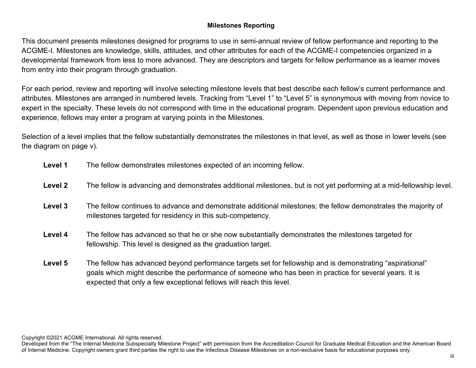## **Milestones Reporting**

This document presents milestones designed for programs to use in semi-annual review of fellow performance and reporting to the ACGME-I. Milestones are knowledge, skills, attitudes, and other attributes for each of the ACGME-I competencies organized in a developmental framework from less to more advanced. They are descriptors and targets for fellow performance as a learner moves from entry into their program through graduation.

For each period, review and reporting will involve selecting milestone levels that best describe each fellow's current performance and attributes. Milestones are arranged in numbered levels. Tracking from "Level 1" to "Level 5" is synonymous with moving from novice to expert in the specialty. These levels do not correspond with time in the educational program. Dependent upon previous education and experience, fellows may enter a program at varying points in the Milestones.

Selection of a level implies that the fellow substantially demonstrates the milestones in that level, as well as those in lower levels (see the diagram on page v).

| Level 1 | The fellow demonstrates milestones expected of an incoming fellow.                                                                                                                                                   |
|---------|----------------------------------------------------------------------------------------------------------------------------------------------------------------------------------------------------------------------|
| Level 2 | The fellow is advancing and demonstrates additional milestones, but is not yet performing at a mid-fellowship level.                                                                                                 |
| Level 3 | The fellow continues to advance and demonstrate additional milestones; the fellow demonstrates the majority of<br>milestones targeted for residency in this sub-competency.                                          |
| Level 4 | The fellow has advanced so that he or she now substantially demonstrates the milestones targeted for<br>fellowship. This level is designed as the graduation target.                                                 |
| Level 5 | "The fellow has advanced beyond performance targets set for fellowship and is demonstrating "aspirational<br>goals which might describe the performance of someone who has been in practice for several years. It is |

Copyright ©2021 ACGME International. All rights reserved.

expected that only a few exceptional fellows will reach this level.

Developed from the "The Internal Medicine Subspecialty Milestone Project" with permission from the Accreditation Council for Graduate Medical Education and the American Board of Internal Medicine. Copyright owners grant third parties the right to use the Infectious Disease Milestones on a non-exclusive basis for educational purposes only.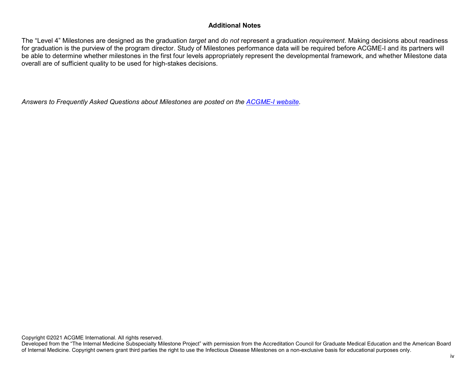## **Additional Notes**

The "Level 4" Milestones are designed as the graduation *target* and *do not* represent a graduation *requirement*. Making decisions about readiness for graduation is the purview of the program director. Study of Milestones performance data will be required before ACGME-I and its partners will be able to determine whether milestones in the first four levels appropriately represent the developmental framework, and whether Milestone data overall are of sufficient quality to be used for high-stakes decisions.

*Answers to Frequently Asked Questions about Milestones are posted on the [ACGME-I](http://www.acgme-i.org/) websi[te.](http://www.acgme-i.org/)*

Copyright ©2021 ACGME International. All rights reserved.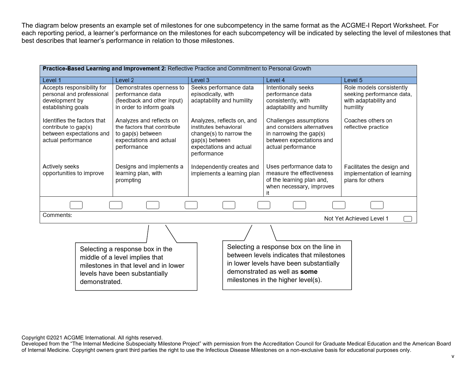The diagram below presents an example set of milestones for one subcompetency in the same format as the ACGME-I Report Worksheet. For each reporting period, a learner's performance on the milestones for each subcompetency will be indicated by selecting the level of milestones that best describes that learner's performance in relation to those milestones.

| Practice-Based Learning and Improvement 2: Reflective Practice and Commitment to Personal Growth                                                              |                                                                                                                        |                                                                                                                                            |                                                                                                                                                                                                      |                                                                                            |  |
|---------------------------------------------------------------------------------------------------------------------------------------------------------------|------------------------------------------------------------------------------------------------------------------------|--------------------------------------------------------------------------------------------------------------------------------------------|------------------------------------------------------------------------------------------------------------------------------------------------------------------------------------------------------|--------------------------------------------------------------------------------------------|--|
| Level 1                                                                                                                                                       | Level <sub>2</sub>                                                                                                     | Level 3                                                                                                                                    | Level 4                                                                                                                                                                                              | Level <sub>5</sub>                                                                         |  |
| Accepts responsibility for<br>personal and professional<br>development by<br>establishing goals                                                               | Demonstrates openness to<br>performance data<br>(feedback and other input)<br>in order to inform goals                 | Seeks performance data<br>episodically, with<br>adaptability and humility                                                                  | Intentionally seeks<br>performance data<br>consistently, with<br>adaptability and humility                                                                                                           | Role models consistently<br>seeking performance data,<br>with adaptability and<br>humility |  |
| Identifies the factors that<br>contribute to gap(s)<br>between expectations and<br>actual performance                                                         | Analyzes and reflects on<br>the factors that contribute<br>to gap(s) between<br>expectations and actual<br>performance | Analyzes, reflects on, and<br>institutes behavioral<br>change(s) to narrow the<br>gap(s) between<br>expectations and actual<br>performance | Challenges assumptions<br>and considers alternatives<br>in narrowing the gap(s)<br>between expectations and<br>actual performance                                                                    | Coaches others on<br>reflective practice                                                   |  |
| Actively seeks<br>opportunities to improve                                                                                                                    | Designs and implements a<br>learning plan, with<br>prompting                                                           | Independently creates and<br>implements a learning plan                                                                                    | Uses performance data to<br>measure the effectiveness<br>of the learning plan and,<br>when necessary, improves<br>it                                                                                 | Facilitates the design and<br>implementation of learning<br>plans for others               |  |
|                                                                                                                                                               |                                                                                                                        |                                                                                                                                            |                                                                                                                                                                                                      |                                                                                            |  |
| Comments:                                                                                                                                                     |                                                                                                                        |                                                                                                                                            |                                                                                                                                                                                                      | Not Yet Achieved Level 1                                                                   |  |
|                                                                                                                                                               |                                                                                                                        |                                                                                                                                            |                                                                                                                                                                                                      |                                                                                            |  |
| Selecting a response box in the<br>middle of a level implies that<br>milestones in that level and in lower<br>levels have been substantially<br>demonstrated. |                                                                                                                        |                                                                                                                                            | Selecting a response box on the line in<br>between levels indicates that milestones<br>in lower levels have been substantially<br>demonstrated as well as some<br>milestones in the higher level(s). |                                                                                            |  |

Copyright ©2021 ACGME International. All rights reserved.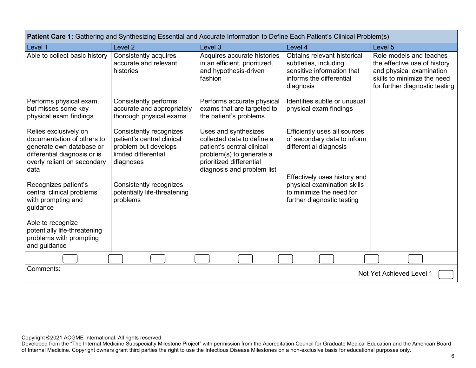| Patient Care 1: Gathering and Synthesizing Essential and Accurate Information to Define Each Patient's Clinical Problem(s)                             |                                                                                                                    |                                                                                                                                                                        |                                                                                                                             |                                                                                                                                                      |  |  |
|--------------------------------------------------------------------------------------------------------------------------------------------------------|--------------------------------------------------------------------------------------------------------------------|------------------------------------------------------------------------------------------------------------------------------------------------------------------------|-----------------------------------------------------------------------------------------------------------------------------|------------------------------------------------------------------------------------------------------------------------------------------------------|--|--|
| Level 1                                                                                                                                                | Level <sub>2</sub>                                                                                                 | Level 3                                                                                                                                                                | Level 4                                                                                                                     | Level <sub>5</sub>                                                                                                                                   |  |  |
| Able to collect basic history                                                                                                                          | Consistently acquires<br>accurate and relevant<br>histories                                                        | Acquires accurate histories<br>in an efficient, prioritized,<br>and hypothesis-driven<br>fashion                                                                       | Obtains relevant historical<br>subtleties, including<br>sensitive information that<br>informs the differential<br>diagnosis | Role models and teaches<br>the effective use of history<br>and physical examination<br>skills to minimize the need<br>for further diagnostic testing |  |  |
| Performs physical exam,<br>but misses some key<br>physical exam findings                                                                               | Consistently performs<br>accurate and appropriately<br>thorough physical exams                                     | Performs accurate physical<br>exams that are targeted to<br>the patient's problems                                                                                     | Identifies subtle or unusual<br>physical exam findings                                                                      |                                                                                                                                                      |  |  |
| Relies exclusively on<br>documentation of others to<br>generate own database or<br>differential diagnosis or is<br>overly reliant on secondary<br>data | Consistently recognizes<br>patient's central clinical<br>problem but develops<br>limited differential<br>diagnoses | Uses and synthesizes<br>collected data to define a<br>patient's central clinical<br>problem(s) to generate a<br>prioritized differential<br>diagnosis and problem list | Efficiently uses all sources<br>of secondary data to inform<br>differential diagnosis                                       |                                                                                                                                                      |  |  |
| Recognizes patient's<br>central clinical problems<br>with prompting and<br>guidance                                                                    | Consistently recognizes<br>potentially life-threatening<br>problems                                                |                                                                                                                                                                        | Effectively uses history and<br>physical examination skills<br>to minimize the need for<br>further diagnostic testing       |                                                                                                                                                      |  |  |
| Able to recognize<br>potentially life-threatening<br>problems with prompting<br>and guidance                                                           |                                                                                                                    |                                                                                                                                                                        |                                                                                                                             |                                                                                                                                                      |  |  |
|                                                                                                                                                        |                                                                                                                    |                                                                                                                                                                        |                                                                                                                             |                                                                                                                                                      |  |  |
| Comments:                                                                                                                                              |                                                                                                                    |                                                                                                                                                                        |                                                                                                                             | Not Yet Achieved Level 1                                                                                                                             |  |  |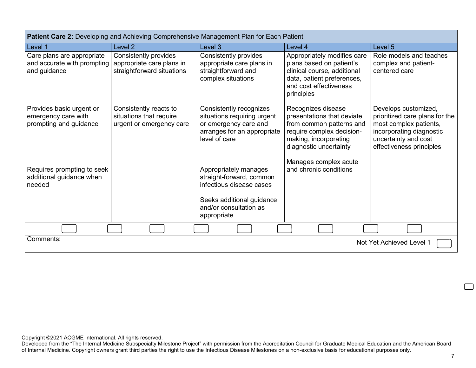| Patient Care 2: Developing and Achieving Comprehensive Management Plan for Each Patient |                                                                                  |                                                                                                                                                     |                                                                                                                                                              |                                                                                                                                                                  |  |
|-----------------------------------------------------------------------------------------|----------------------------------------------------------------------------------|-----------------------------------------------------------------------------------------------------------------------------------------------------|--------------------------------------------------------------------------------------------------------------------------------------------------------------|------------------------------------------------------------------------------------------------------------------------------------------------------------------|--|
| Level 1                                                                                 | Level <sub>2</sub>                                                               | Level 3                                                                                                                                             | Level 4                                                                                                                                                      | Level 5                                                                                                                                                          |  |
| Care plans are appropriate<br>and accurate with prompting<br>and guidance               | Consistently provides<br>appropriate care plans in<br>straightforward situations | Consistently provides<br>appropriate care plans in<br>straightforward and<br>complex situations                                                     | Appropriately modifies care<br>plans based on patient's<br>clinical course, additional<br>data, patient preferences,<br>and cost effectiveness<br>principles | Role models and teaches<br>complex and patient-<br>centered care                                                                                                 |  |
| Provides basic urgent or<br>emergency care with<br>prompting and guidance               | Consistently reacts to<br>situations that require<br>urgent or emergency care    | Consistently recognizes<br>situations requiring urgent<br>or emergency care and<br>arranges for an appropriate<br>level of care                     | Recognizes disease<br>presentations that deviate<br>from common patterns and<br>require complex decision-<br>making, incorporating<br>diagnostic uncertainty | Develops customized,<br>prioritized care plans for the<br>most complex patients,<br>incorporating diagnostic<br>uncertainty and cost<br>effectiveness principles |  |
| Requires prompting to seek<br>additional guidance when<br>needed                        |                                                                                  | Appropriately manages<br>straight-forward, common<br>infectious disease cases<br>Seeks additional guidance<br>and/or consultation as<br>appropriate | Manages complex acute<br>and chronic conditions                                                                                                              |                                                                                                                                                                  |  |
|                                                                                         |                                                                                  |                                                                                                                                                     |                                                                                                                                                              |                                                                                                                                                                  |  |
| Comments:<br>Not Yet Achieved Level 1                                                   |                                                                                  |                                                                                                                                                     |                                                                                                                                                              |                                                                                                                                                                  |  |

Developed from the "The Internal Medicine Subspecialty Milestone Project" with permission from the Accreditation Council for Graduate Medical Education and the American Board of Internal Medicine. Copyright owners grant third parties the right to use the Infectious Disease Milestones on a non-exclusive basis for educational purposes only.

 $\Box$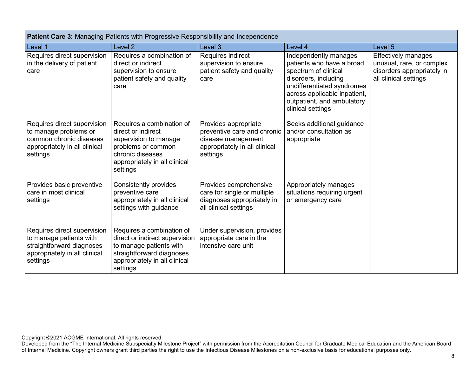| <b>Patient Care 3: Managing Patients with Progressive Responsibility and Independence</b>                                        |                                                                                                                                                                  |                                                                                                                        |                                                                                                                                                                                                                     |                                                                                                                |  |
|----------------------------------------------------------------------------------------------------------------------------------|------------------------------------------------------------------------------------------------------------------------------------------------------------------|------------------------------------------------------------------------------------------------------------------------|---------------------------------------------------------------------------------------------------------------------------------------------------------------------------------------------------------------------|----------------------------------------------------------------------------------------------------------------|--|
| Level 1                                                                                                                          | Level <sub>2</sub>                                                                                                                                               | Level 3                                                                                                                | Level 4                                                                                                                                                                                                             | Level 5                                                                                                        |  |
| Requires direct supervision<br>in the delivery of patient<br>care                                                                | Requires a combination of<br>direct or indirect<br>supervision to ensure<br>patient safety and quality<br>care                                                   | Requires indirect<br>supervision to ensure<br>patient safety and quality<br>care                                       | Independently manages<br>patients who have a broad<br>spectrum of clinical<br>disorders, including<br>undifferentiated syndromes<br>across applicable inpatient,<br>outpatient, and ambulatory<br>clinical settings | <b>Effectively manages</b><br>unusual, rare, or complex<br>disorders appropriately in<br>all clinical settings |  |
| Requires direct supervision<br>to manage problems or<br>common chronic diseases<br>appropriately in all clinical<br>settings     | Requires a combination of<br>direct or indirect<br>supervision to manage<br>problems or common<br>chronic diseases<br>appropriately in all clinical<br>settings  | Provides appropriate<br>preventive care and chronic<br>disease management<br>appropriately in all clinical<br>settings | Seeks additional guidance<br>and/or consultation as<br>appropriate                                                                                                                                                  |                                                                                                                |  |
| Provides basic preventive<br>care in most clinical<br>settings                                                                   | <b>Consistently provides</b><br>preventive care<br>appropriately in all clinical<br>settings with guidance                                                       | Provides comprehensive<br>care for single or multiple<br>diagnoses appropriately in<br>all clinical settings           | Appropriately manages<br>situations requiring urgent<br>or emergency care                                                                                                                                           |                                                                                                                |  |
| Requires direct supervision<br>to manage patients with<br>straightforward diagnoses<br>appropriately in all clinical<br>settings | Requires a combination of<br>direct or indirect supervision<br>to manage patients with<br>straightforward diagnoses<br>appropriately in all clinical<br>settings | Under supervision, provides<br>appropriate care in the<br>intensive care unit                                          |                                                                                                                                                                                                                     |                                                                                                                |  |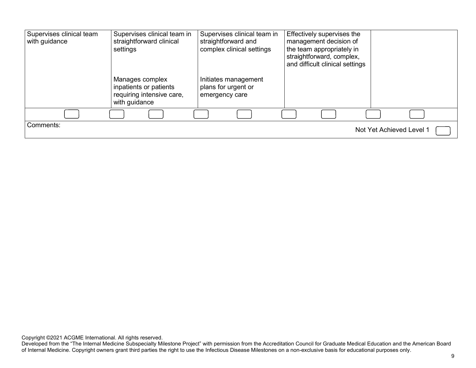| Supervises clinical team<br>with guidance | Supervises clinical team in<br>straightforward clinical<br>settings                     | Supervises clinical team in<br>straightforward and<br>complex clinical settings | Effectively supervises the<br>management decision of<br>the team appropriately in<br>straightforward, complex,<br>and difficult clinical settings |                          |
|-------------------------------------------|-----------------------------------------------------------------------------------------|---------------------------------------------------------------------------------|---------------------------------------------------------------------------------------------------------------------------------------------------|--------------------------|
|                                           | Manages complex<br>inpatients or patients<br>requiring intensive care,<br>with guidance | Initiates management<br>plans for urgent or<br>emergency care                   |                                                                                                                                                   |                          |
|                                           |                                                                                         |                                                                                 |                                                                                                                                                   |                          |
| Comments:                                 |                                                                                         |                                                                                 |                                                                                                                                                   | Not Yet Achieved Level 1 |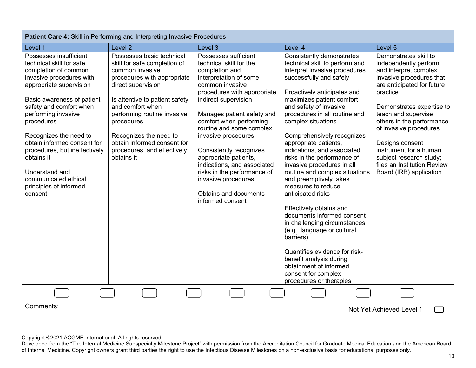| Patient Care 4: Skill in Performing and Interpreting Invasive Procedures                                                                                                                                                                                                                                                                                                                                               |                                                                                                                                                                                                                                                                                                                                            |                                                                                                                                                                                                                                                                                                                                                                                                                                                                         |                                                                                                                                                                                                                                                                                                                                                                                                                                                                                                                                                                                                                                                                                                                                                                                                             |                                                                                                                                                                                                                                                                                                                                                                                            |  |
|------------------------------------------------------------------------------------------------------------------------------------------------------------------------------------------------------------------------------------------------------------------------------------------------------------------------------------------------------------------------------------------------------------------------|--------------------------------------------------------------------------------------------------------------------------------------------------------------------------------------------------------------------------------------------------------------------------------------------------------------------------------------------|-------------------------------------------------------------------------------------------------------------------------------------------------------------------------------------------------------------------------------------------------------------------------------------------------------------------------------------------------------------------------------------------------------------------------------------------------------------------------|-------------------------------------------------------------------------------------------------------------------------------------------------------------------------------------------------------------------------------------------------------------------------------------------------------------------------------------------------------------------------------------------------------------------------------------------------------------------------------------------------------------------------------------------------------------------------------------------------------------------------------------------------------------------------------------------------------------------------------------------------------------------------------------------------------------|--------------------------------------------------------------------------------------------------------------------------------------------------------------------------------------------------------------------------------------------------------------------------------------------------------------------------------------------------------------------------------------------|--|
| Level 1                                                                                                                                                                                                                                                                                                                                                                                                                | Level <sub>2</sub>                                                                                                                                                                                                                                                                                                                         | Level 3                                                                                                                                                                                                                                                                                                                                                                                                                                                                 | Level 4                                                                                                                                                                                                                                                                                                                                                                                                                                                                                                                                                                                                                                                                                                                                                                                                     | Level 5                                                                                                                                                                                                                                                                                                                                                                                    |  |
| Possesses insufficient<br>technical skill for safe<br>completion of common<br>invasive procedures with<br>appropriate supervision<br>Basic awareness of patient<br>safety and comfort when<br>performing invasive<br>procedures<br>Recognizes the need to<br>obtain informed consent for<br>procedures, but ineffectively<br>obtains it<br>Understand and<br>communicated ethical<br>principles of informed<br>consent | Possesses basic technical<br>skill for safe completion of<br>common invasive<br>procedures with appropriate<br>direct supervision<br>Is attentive to patient safety<br>and comfort when<br>performing routine invasive<br>procedures<br>Recognizes the need to<br>obtain informed consent for<br>procedures, and effectively<br>obtains it | Possesses sufficient<br>technical skill for the<br>completion and<br>interpretation of some<br>common invasive<br>procedures with appropriate<br>indirect supervision<br>Manages patient safety and<br>comfort when performing<br>routine and some complex<br>invasive procedures<br>Consistently recognizes<br>appropriate patients,<br>indications, and associated<br>risks in the performance of<br>invasive procedures<br>Obtains and documents<br>informed consent | Consistently demonstrates<br>technical skill to perform and<br>interpret invasive procedures<br>successfully and safely<br>Proactively anticipates and<br>maximizes patient comfort<br>and safety of invasive<br>procedures in all routine and<br>complex situations<br>Comprehensively recognizes<br>appropriate patients,<br>indications, and associated<br>risks in the performance of<br>invasive procedures in all<br>routine and complex situations<br>and preemptively takes<br>measures to reduce<br>anticipated risks<br>Effectively obtains and<br>documents informed consent<br>in challenging circumstances<br>(e.g., language or cultural<br>barriers)<br>Quantifies evidence for risk-<br>benefit analysis during<br>obtainment of informed<br>consent for complex<br>procedures or therapies | Demonstrates skill to<br>independently perform<br>and interpret complex<br>invasive procedures that<br>are anticipated for future<br>practice<br>Demonstrates expertise to<br>teach and supervise<br>others in the performance<br>of invasive procedures<br>Designs consent<br>instrument for a human<br>subject research study;<br>files an Institution Review<br>Board (IRB) application |  |
|                                                                                                                                                                                                                                                                                                                                                                                                                        |                                                                                                                                                                                                                                                                                                                                            |                                                                                                                                                                                                                                                                                                                                                                                                                                                                         |                                                                                                                                                                                                                                                                                                                                                                                                                                                                                                                                                                                                                                                                                                                                                                                                             |                                                                                                                                                                                                                                                                                                                                                                                            |  |
| Comments:                                                                                                                                                                                                                                                                                                                                                                                                              |                                                                                                                                                                                                                                                                                                                                            |                                                                                                                                                                                                                                                                                                                                                                                                                                                                         |                                                                                                                                                                                                                                                                                                                                                                                                                                                                                                                                                                                                                                                                                                                                                                                                             | Not Yet Achieved Level 1                                                                                                                                                                                                                                                                                                                                                                   |  |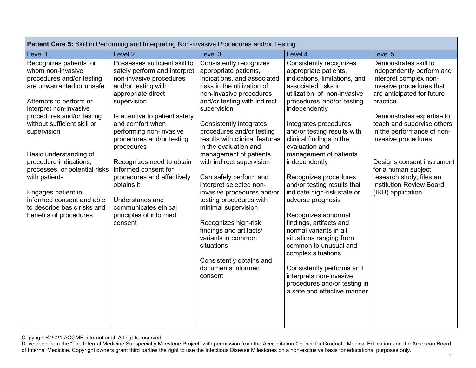| Patient Care 5: Skill in Performing and Interpreting Non-Invasive Procedures and/or Testing                                                                                                                                                                                                                                                                                                                                                             |                                                                                                                                                                                                                                                                                                                                                                                                                                                                   |                                                                                                                                                                                                                                                                                                                                                                                                                                                                                                                                                                                                                                                                    |                                                                                                                                                                                                                                                                                                                                                                                                                                                                                                                                                                                                                                                                                                                                        |                                                                                                                                                                                                                                                                                                                                                                                                             |  |
|---------------------------------------------------------------------------------------------------------------------------------------------------------------------------------------------------------------------------------------------------------------------------------------------------------------------------------------------------------------------------------------------------------------------------------------------------------|-------------------------------------------------------------------------------------------------------------------------------------------------------------------------------------------------------------------------------------------------------------------------------------------------------------------------------------------------------------------------------------------------------------------------------------------------------------------|--------------------------------------------------------------------------------------------------------------------------------------------------------------------------------------------------------------------------------------------------------------------------------------------------------------------------------------------------------------------------------------------------------------------------------------------------------------------------------------------------------------------------------------------------------------------------------------------------------------------------------------------------------------------|----------------------------------------------------------------------------------------------------------------------------------------------------------------------------------------------------------------------------------------------------------------------------------------------------------------------------------------------------------------------------------------------------------------------------------------------------------------------------------------------------------------------------------------------------------------------------------------------------------------------------------------------------------------------------------------------------------------------------------------|-------------------------------------------------------------------------------------------------------------------------------------------------------------------------------------------------------------------------------------------------------------------------------------------------------------------------------------------------------------------------------------------------------------|--|
| Level 1                                                                                                                                                                                                                                                                                                                                                                                                                                                 | Level <sub>2</sub>                                                                                                                                                                                                                                                                                                                                                                                                                                                | Level 3                                                                                                                                                                                                                                                                                                                                                                                                                                                                                                                                                                                                                                                            | Level 4                                                                                                                                                                                                                                                                                                                                                                                                                                                                                                                                                                                                                                                                                                                                | Level 5                                                                                                                                                                                                                                                                                                                                                                                                     |  |
| Recognizes patients for<br>whom non-invasive<br>procedures and/or testing<br>are unwarranted or unsafe<br>Attempts to perform or<br>interpret non-invasive<br>procedures and/or testing<br>without sufficient skill or<br>supervision<br>Basic understanding of<br>procedure indications,<br>processes, or potential risks<br>with patients<br>Engages patient in<br>informed consent and able<br>to describe basic risks and<br>benefits of procedures | Possesses sufficient skill to<br>safely perform and interpret<br>non-invasive procedures<br>and/or testing with<br>appropriate direct<br>supervision<br>Is attentive to patient safety<br>and comfort when<br>performing non-invasive<br>procedures and/or testing<br>procedures<br>Recognizes need to obtain<br>informed consent for<br>procedures and effectively<br>obtains it<br>Understands and<br>communicates ethical<br>principles of informed<br>consent | Consistently recognizes<br>appropriate patients,<br>indications, and associated<br>risks in the utilization of<br>non-invasive procedures<br>and/or testing with indirect<br>supervision<br><b>Consistently integrates</b><br>procedures and/or testing<br>results with clinical features<br>in the evaluation and<br>management of patients<br>with indirect supervision<br>Can safely perform and<br>interpret selected non-<br>invasive procedures and/or<br>testing procedures with<br>minimal supervision<br>Recognizes high-risk<br>findings and artifacts/<br>variants in common<br>situations<br>Consistently obtains and<br>documents informed<br>consent | <b>Consistently recognizes</b><br>appropriate patients,<br>indications, limitations, and<br>associated risks in<br>utilization of non-invasive<br>procedures and/or testing<br>independently<br>Integrates procedures<br>and/or testing results with<br>clinical findings in the<br>evaluation and<br>management of patients<br>independently<br>Recognizes procedures<br>and/or testing results that<br>indicate high-risk state or<br>adverse prognosis<br>Recognizes abnormal<br>findings, artifacts and<br>normal variants in all<br>situations ranging from<br>common to unusual and<br>complex situations<br>Consistently performs and<br>interprets non-invasive<br>procedures and/or testing in<br>a safe and effective manner | Demonstrates skill to<br>independently perform and<br>interpret complex non-<br>invasive procedures that<br>are anticipated for future<br>practice<br>Demonstrates expertise to<br>teach and supervise others<br>in the performance of non-<br>invasive procedures<br>Designs consent instrument<br>for a human subject<br>research study; files an<br><b>Institution Review Board</b><br>(IRB) application |  |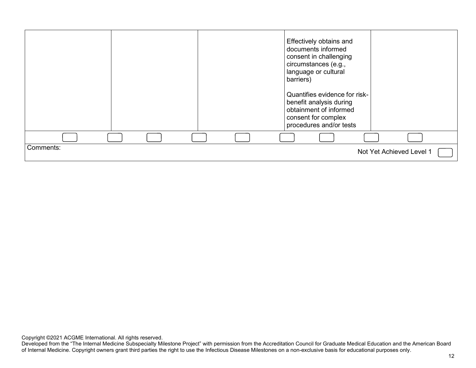|           |  | Effectively obtains and<br>documents informed<br>consent in challenging<br>circumstances (e.g.,<br>language or cultural<br>barriers)<br>Quantifies evidence for risk-<br>benefit analysis during<br>obtainment of informed<br>consent for complex<br>procedures and/or tests |                          |
|-----------|--|------------------------------------------------------------------------------------------------------------------------------------------------------------------------------------------------------------------------------------------------------------------------------|--------------------------|
|           |  |                                                                                                                                                                                                                                                                              |                          |
| Comments: |  |                                                                                                                                                                                                                                                                              | Not Yet Achieved Level 1 |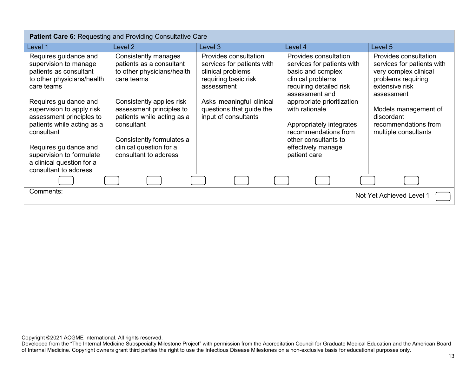| <b>Patient Care 6: Requesting and Providing Consultative Care</b>                                                          |                                                                                                                                |                                                                                                                |                                                                                                                                            |                                                                                                                                    |  |
|----------------------------------------------------------------------------------------------------------------------------|--------------------------------------------------------------------------------------------------------------------------------|----------------------------------------------------------------------------------------------------------------|--------------------------------------------------------------------------------------------------------------------------------------------|------------------------------------------------------------------------------------------------------------------------------------|--|
| Level 1                                                                                                                    | Level 2                                                                                                                        | Level 3                                                                                                        | Level 4                                                                                                                                    | Level 5                                                                                                                            |  |
| Requires guidance and<br>supervision to manage<br>patients as consultant<br>to other physicians/health<br>care teams       | Consistently manages<br>patients as a consultant<br>to other physicians/health<br>care teams                                   | Provides consultation<br>services for patients with<br>clinical problems<br>requiring basic risk<br>assessment | Provides consultation<br>services for patients with<br>basic and complex<br>clinical problems<br>requiring detailed risk<br>assessment and | Provides consultation<br>services for patients with<br>very complex clinical<br>problems requiring<br>extensive risk<br>assessment |  |
| Requires guidance and<br>supervision to apply risk<br>assessment principles to<br>patients while acting as a<br>consultant | Consistently applies risk<br>assessment principles to<br>patients while acting as a<br>consultant<br>Consistently formulates a | Asks meaningful clinical<br>questions that guide the<br>input of consultants                                   | appropriate prioritization<br>with rationale<br>Appropriately integrates<br>recommendations from<br>other consultants to                   | Models management of<br>discordant<br>recommendations from<br>multiple consultants                                                 |  |
| Requires guidance and<br>supervision to formulate<br>a clinical question for a<br>consultant to address                    | clinical question for a<br>consultant to address                                                                               |                                                                                                                | effectively manage<br>patient care                                                                                                         |                                                                                                                                    |  |
|                                                                                                                            |                                                                                                                                |                                                                                                                |                                                                                                                                            |                                                                                                                                    |  |
| Comments:                                                                                                                  |                                                                                                                                |                                                                                                                |                                                                                                                                            | Not Yet Achieved Level 1                                                                                                           |  |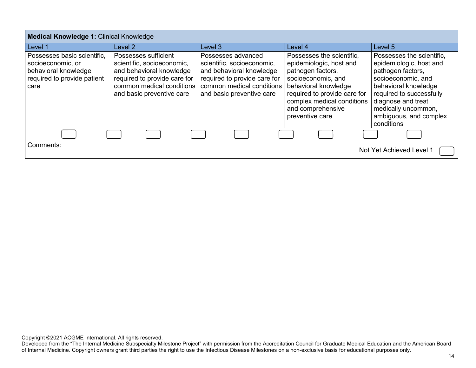| <b>Medical Knowledge 1: Clinical Knowledge</b>                                                                  |                                                                                                                                                                          |                                                                                                                                                                        |                                                                                                                                                                                                                               |                                                                                                                                                                                                                                          |  |
|-----------------------------------------------------------------------------------------------------------------|--------------------------------------------------------------------------------------------------------------------------------------------------------------------------|------------------------------------------------------------------------------------------------------------------------------------------------------------------------|-------------------------------------------------------------------------------------------------------------------------------------------------------------------------------------------------------------------------------|------------------------------------------------------------------------------------------------------------------------------------------------------------------------------------------------------------------------------------------|--|
| Level 1                                                                                                         | Level 2                                                                                                                                                                  | Level 3                                                                                                                                                                | Level 4                                                                                                                                                                                                                       | Level 5                                                                                                                                                                                                                                  |  |
| Possesses basic scientific,<br>socioeconomic, or<br>behavioral knowledge<br>required to provide patient<br>care | Possesses sufficient<br>scientific, socioeconomic,<br>and behavioral knowledge<br>required to provide care for<br>common medical conditions<br>and basic preventive care | Possesses advanced<br>scientific, socioeconomic,<br>and behavioral knowledge<br>required to provide care for<br>common medical conditions<br>and basic preventive care | Possesses the scientific.<br>epidemiologic, host and<br>pathogen factors,<br>socioeconomic, and<br>behavioral knowledge<br>required to provide care for<br>complex medical conditions<br>and comprehensive<br>preventive care | Possesses the scientific,<br>epidemiologic, host and<br>pathogen factors,<br>socioeconomic, and<br>behavioral knowledge<br>required to successfully<br>diagnose and treat<br>medically uncommon,<br>ambiguous, and complex<br>conditions |  |
|                                                                                                                 |                                                                                                                                                                          |                                                                                                                                                                        |                                                                                                                                                                                                                               |                                                                                                                                                                                                                                          |  |
| Comments:<br>Not Yet Achieved Level 1                                                                           |                                                                                                                                                                          |                                                                                                                                                                        |                                                                                                                                                                                                                               |                                                                                                                                                                                                                                          |  |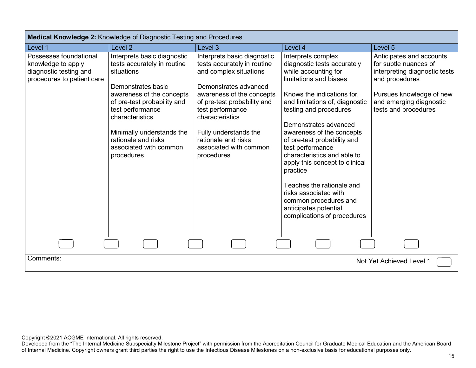| Medical Knowledge 2: Knowledge of Diagnostic Testing and Procedures                                  |                                                                                                                                                                                                                                                                                               |                                                                                                                                                                                                                                                                                                          |                                                                                                                                                                                                                                                                                                                                                                                                                                                                                                                            |                                                                                                                                                                                     |  |
|------------------------------------------------------------------------------------------------------|-----------------------------------------------------------------------------------------------------------------------------------------------------------------------------------------------------------------------------------------------------------------------------------------------|----------------------------------------------------------------------------------------------------------------------------------------------------------------------------------------------------------------------------------------------------------------------------------------------------------|----------------------------------------------------------------------------------------------------------------------------------------------------------------------------------------------------------------------------------------------------------------------------------------------------------------------------------------------------------------------------------------------------------------------------------------------------------------------------------------------------------------------------|-------------------------------------------------------------------------------------------------------------------------------------------------------------------------------------|--|
| Level 1                                                                                              | Level <sub>2</sub>                                                                                                                                                                                                                                                                            | Level <sub>3</sub>                                                                                                                                                                                                                                                                                       | Level 4                                                                                                                                                                                                                                                                                                                                                                                                                                                                                                                    | Level 5                                                                                                                                                                             |  |
| Possesses foundational<br>knowledge to apply<br>diagnostic testing and<br>procedures to patient care | Interprets basic diagnostic<br>tests accurately in routine<br>situations<br>Demonstrates basic<br>awareness of the concepts<br>of pre-test probability and<br>test performance<br>characteristics<br>Minimally understands the<br>rationale and risks<br>associated with common<br>procedures | Interprets basic diagnostic<br>tests accurately in routine<br>and complex situations<br>Demonstrates advanced<br>awareness of the concepts<br>of pre-test probability and<br>test performance<br>characteristics<br>Fully understands the<br>rationale and risks<br>associated with common<br>procedures | Interprets complex<br>diagnostic tests accurately<br>while accounting for<br>limitations and biases<br>Knows the indications for,<br>and limitations of, diagnostic<br>testing and procedures<br>Demonstrates advanced<br>awareness of the concepts<br>of pre-test probability and<br>test performance<br>characteristics and able to<br>apply this concept to clinical<br>practice<br>Teaches the rationale and<br>risks associated with<br>common procedures and<br>anticipates potential<br>complications of procedures | Anticipates and accounts<br>for subtle nuances of<br>interpreting diagnostic tests<br>and procedures<br>Pursues knowledge of new<br>and emerging diagnostic<br>tests and procedures |  |
|                                                                                                      |                                                                                                                                                                                                                                                                                               |                                                                                                                                                                                                                                                                                                          |                                                                                                                                                                                                                                                                                                                                                                                                                                                                                                                            |                                                                                                                                                                                     |  |
| Comments:<br>Not Yet Achieved Level 1                                                                |                                                                                                                                                                                                                                                                                               |                                                                                                                                                                                                                                                                                                          |                                                                                                                                                                                                                                                                                                                                                                                                                                                                                                                            |                                                                                                                                                                                     |  |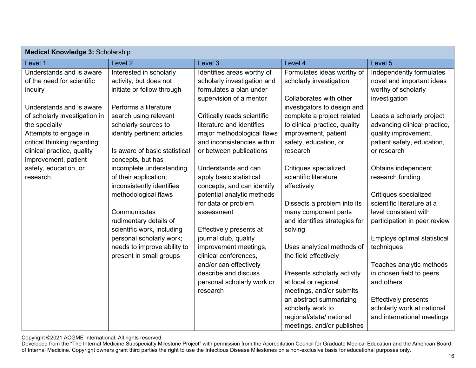| <b>Medical Knowledge 3: Scholarship</b> |                               |                             |                               |                              |  |  |
|-----------------------------------------|-------------------------------|-----------------------------|-------------------------------|------------------------------|--|--|
| Level 1                                 | Level <sub>2</sub>            | Level 3                     | Level 4                       | Level 5                      |  |  |
| Understands and is aware                | Interested in scholarly       | Identifies areas worthy of  | Formulates ideas worthy of    | Independently formulates     |  |  |
| of the need for scientific              | activity, but does not        | scholarly investigation and | scholarly investigation       | novel and important ideas    |  |  |
| inquiry                                 | initiate or follow through    | formulates a plan under     |                               | worthy of scholarly          |  |  |
|                                         |                               | supervision of a mentor     | Collaborates with other       | investigation                |  |  |
| Understands and is aware                | Performs a literature         |                             | investigators to design and   |                              |  |  |
| of scholarly investigation in           | search using relevant         | Critically reads scientific | complete a project related    | Leads a scholarly project    |  |  |
| the specialty                           | scholarly sources to          | literature and identifies   | to clinical practice, quality | advancing clinical practice, |  |  |
| Attempts to engage in                   | identify pertinent articles   | major methodological flaws  | improvement, patient          | quality improvement,         |  |  |
| critical thinking regarding             |                               | and inconsistencies within  | safety, education, or         | patient safety, education,   |  |  |
| clinical practice, quality              | Is aware of basic statistical | or between publications     | research                      | or research                  |  |  |
| improvement, patient                    | concepts, but has             |                             |                               |                              |  |  |
| safety, education, or                   | incomplete understanding      | Understands and can         | Critiques specialized         | Obtains independent          |  |  |
| research                                | of their application;         | apply basic statistical     | scientific literature         | research funding             |  |  |
|                                         | inconsistently identifies     | concepts, and can identify  | effectively                   |                              |  |  |
|                                         | methodological flaws          | potential analytic methods  |                               | Critiques specialized        |  |  |
|                                         |                               | for data or problem         | Dissects a problem into its   | scientific literature at a   |  |  |
|                                         | Communicates                  | assessment                  | many component parts          | level consistent with        |  |  |
|                                         | rudimentary details of        |                             | and identifies strategies for | participation in peer review |  |  |
|                                         | scientific work, including    | Effectively presents at     | solving                       |                              |  |  |
|                                         | personal scholarly work;      | journal club, quality       |                               | Employs optimal statistical  |  |  |
|                                         | needs to improve ability to   | improvement meetings,       | Uses analytical methods of    | techniques                   |  |  |
|                                         | present in small groups       | clinical conferences,       | the field effectively         |                              |  |  |
|                                         |                               | and/or can effectively      |                               | Teaches analytic methods     |  |  |
|                                         |                               | describe and discuss        | Presents scholarly activity   | in chosen field to peers     |  |  |
|                                         |                               | personal scholarly work or  | at local or regional          | and others                   |  |  |
|                                         |                               | research                    | meetings, and/or submits      |                              |  |  |
|                                         |                               |                             | an abstract summarizing       | <b>Effectively presents</b>  |  |  |
|                                         |                               |                             | scholarly work to             | scholarly work at national   |  |  |
|                                         |                               |                             | regional/state/ national      | and international meetings   |  |  |
|                                         |                               |                             | meetings, and/or publishes    |                              |  |  |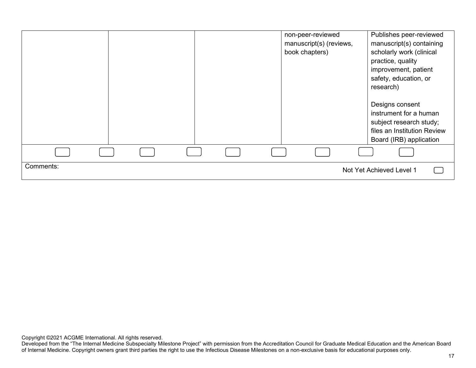|           |  |  | non-peer-reviewed<br>manuscript(s) (reviews,<br>book chapters) | Publishes peer-reviewed<br>manuscript(s) containing<br>scholarly work (clinical<br>practice, quality<br>improvement, patient<br>safety, education, or<br>research)<br>Designs consent<br>instrument for a human<br>subject research study;<br>files an Institution Review<br>Board (IRB) application |  |
|-----------|--|--|----------------------------------------------------------------|------------------------------------------------------------------------------------------------------------------------------------------------------------------------------------------------------------------------------------------------------------------------------------------------------|--|
|           |  |  |                                                                |                                                                                                                                                                                                                                                                                                      |  |
| Comments: |  |  |                                                                | Not Yet Achieved Level 1                                                                                                                                                                                                                                                                             |  |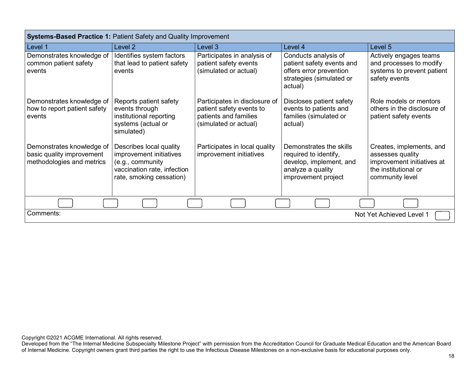| Systems-Based Practice 1: Patient Safety and Quality Improvement                    |                                                                                                                                   |                                                                                                             |                                                                                                                         |                                                                                                                       |  |  |
|-------------------------------------------------------------------------------------|-----------------------------------------------------------------------------------------------------------------------------------|-------------------------------------------------------------------------------------------------------------|-------------------------------------------------------------------------------------------------------------------------|-----------------------------------------------------------------------------------------------------------------------|--|--|
| Level 1                                                                             | Level <sub>2</sub>                                                                                                                | Level 3                                                                                                     | Level 4                                                                                                                 | Level 5                                                                                                               |  |  |
| Demonstrates knowledge of<br>common patient safety<br>events                        | Identifies system factors<br>that lead to patient safety<br>events                                                                | Participates in analysis of<br>patient safety events<br>(simulated or actual)                               | Conducts analysis of<br>patient safety events and<br>offers error prevention<br>strategies (simulated or<br>actual)     | Actively engages teams<br>and processes to modify<br>systems to prevent patient<br>safety events                      |  |  |
| Demonstrates knowledge of<br>how to report patient safety<br>events                 | Reports patient safety<br>events through<br>institutional reporting<br>systems (actual or<br>simulated)                           | Participates in disclosure of<br>patient safety events to<br>patients and families<br>(simulated or actual) | Discloses patient safety<br>events to patients and<br>families (simulated or<br>actual)                                 | Role models or mentors<br>others in the disclosure of<br>patient safety events                                        |  |  |
| Demonstrates knowledge of<br>basic quality improvement<br>methodologies and metrics | Describes local quality<br>improvement initiatives<br>(e.g., community<br>vaccination rate, infection<br>rate, smoking cessation) | Participates in local quality<br>improvement initiatives                                                    | Demonstrates the skills<br>required to identify,<br>develop, implement, and<br>analyze a quality<br>improvement project | Creates, implements, and<br>assesses quality<br>improvement initiatives at<br>the institutional or<br>community level |  |  |
|                                                                                     |                                                                                                                                   |                                                                                                             |                                                                                                                         |                                                                                                                       |  |  |
| Comments:<br>Not Yet Achieved Level 1                                               |                                                                                                                                   |                                                                                                             |                                                                                                                         |                                                                                                                       |  |  |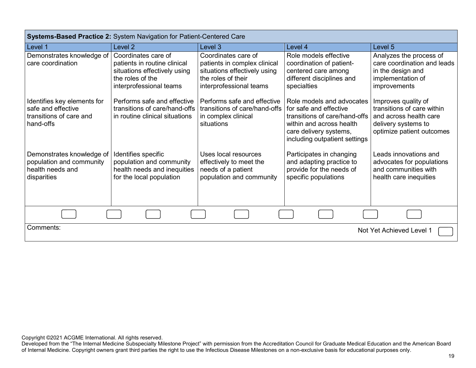| <b>Systems-Based Practice 2: System Navigation for Patient-Centered Care</b>              |                                                                                                                                    |                                                                                                                                      |                                                                                                                                                                             |                                                                                                                                 |  |
|-------------------------------------------------------------------------------------------|------------------------------------------------------------------------------------------------------------------------------------|--------------------------------------------------------------------------------------------------------------------------------------|-----------------------------------------------------------------------------------------------------------------------------------------------------------------------------|---------------------------------------------------------------------------------------------------------------------------------|--|
| Level 1                                                                                   | Level <sub>2</sub>                                                                                                                 | Level 3                                                                                                                              | Level 4                                                                                                                                                                     | Level 5                                                                                                                         |  |
| Demonstrates knowledge of<br>care coordination                                            | Coordinates care of<br>patients in routine clinical<br>situations effectively using<br>the roles of the<br>interprofessional teams | Coordinates care of<br>patients in complex clinical<br>situations effectively using<br>the roles of their<br>interprofessional teams | Role models effective<br>coordination of patient-<br>centered care among<br>different disciplines and<br>specialties                                                        | Analyzes the process of<br>care coordination and leads<br>in the design and<br>implementation of<br>improvements                |  |
| Identifies key elements for<br>safe and effective<br>transitions of care and<br>hand-offs | Performs safe and effective<br>transitions of care/hand-offs<br>in routine clinical situations                                     | Performs safe and effective<br>transitions of care/hand-offs<br>in complex clinical<br>situations                                    | Role models and advocates<br>for safe and effective<br>transitions of care/hand-offs<br>within and across health<br>care delivery systems,<br>including outpatient settings | Improves quality of<br>transitions of care within<br>and across health care<br>delivery systems to<br>optimize patient outcomes |  |
| Demonstrates knowledge of<br>population and community<br>health needs and<br>disparities  | Identifies specific<br>population and community<br>health needs and inequities<br>for the local population                         | Uses local resources<br>effectively to meet the<br>needs of a patient<br>population and community                                    | Participates in changing<br>and adapting practice to<br>provide for the needs of<br>specific populations                                                                    | Leads innovations and<br>advocates for populations<br>and communities with<br>health care inequities                            |  |
|                                                                                           |                                                                                                                                    |                                                                                                                                      |                                                                                                                                                                             |                                                                                                                                 |  |
| Comments:<br>Not Yet Achieved Level 1                                                     |                                                                                                                                    |                                                                                                                                      |                                                                                                                                                                             |                                                                                                                                 |  |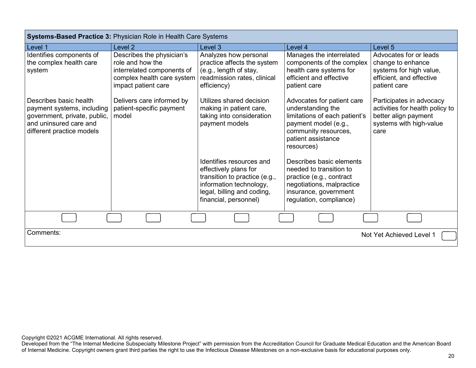| <b>Systems-Based Practice 3: Physician Role in Health Care Systems</b>                                                                      |                                                                                                                                    |                                                                                                                                                                      |                                                                                                                                                                      |                                                                                                                        |  |
|---------------------------------------------------------------------------------------------------------------------------------------------|------------------------------------------------------------------------------------------------------------------------------------|----------------------------------------------------------------------------------------------------------------------------------------------------------------------|----------------------------------------------------------------------------------------------------------------------------------------------------------------------|------------------------------------------------------------------------------------------------------------------------|--|
| Level 1                                                                                                                                     | Level 2                                                                                                                            | Level 3                                                                                                                                                              | Level 4                                                                                                                                                              | Level <sub>5</sub>                                                                                                     |  |
| Identifies components of<br>the complex health care<br>system                                                                               | Describes the physician's<br>role and how the<br>interrelated components of<br>complex health care system  <br>impact patient care | Analyzes how personal<br>practice affects the system<br>(e.g., length of stay,<br>readmission rates, clinical<br>efficiency)                                         | Manages the interrelated<br>components of the complex<br>health care systems for<br>efficient and effective<br>patient care                                          | Advocates for or leads<br>change to enhance<br>systems for high value,<br>efficient, and effective<br>patient care     |  |
| Describes basic health<br>payment systems, including<br>government, private, public,<br>and uninsured care and<br>different practice models | Delivers care informed by<br>patient-specific payment<br>model                                                                     | Utilizes shared decision<br>making in patient care,<br>taking into consideration<br>payment models                                                                   | Advocates for patient care<br>understanding the<br>limitations of each patient's<br>payment model (e.g.,<br>community resources,<br>patient assistance<br>resources) | Participates in advocacy<br>activities for health policy to<br>better align payment<br>systems with high-value<br>care |  |
|                                                                                                                                             |                                                                                                                                    | Identifies resources and<br>effectively plans for<br>transition to practice (e.g.,<br>information technology,<br>legal, billing and coding,<br>financial, personnel) | Describes basic elements<br>needed to transition to<br>practice (e.g., contract<br>negotiations, malpractice<br>insurance, government<br>regulation, compliance)     |                                                                                                                        |  |
|                                                                                                                                             |                                                                                                                                    |                                                                                                                                                                      |                                                                                                                                                                      |                                                                                                                        |  |
| Comments:<br>Not Yet Achieved Level 1                                                                                                       |                                                                                                                                    |                                                                                                                                                                      |                                                                                                                                                                      |                                                                                                                        |  |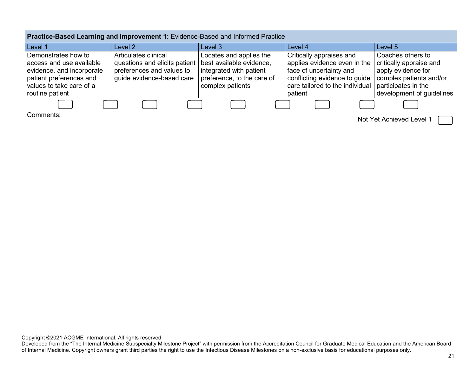| Practice-Based Learning and Improvement 1: Evidence-Based and Informed Practice                                                                        |                                                                                                                 |                                                                                                                                  |                                                                                                                                                                    |                                                                                                                                                   |  |
|--------------------------------------------------------------------------------------------------------------------------------------------------------|-----------------------------------------------------------------------------------------------------------------|----------------------------------------------------------------------------------------------------------------------------------|--------------------------------------------------------------------------------------------------------------------------------------------------------------------|---------------------------------------------------------------------------------------------------------------------------------------------------|--|
| Level 1                                                                                                                                                | Level 2                                                                                                         | Level 3                                                                                                                          | Level 4                                                                                                                                                            | Level 5                                                                                                                                           |  |
| Demonstrates how to<br>access and use available<br>evidence, and incorporate<br>patient preferences and<br>values to take care of a<br>routine patient | Articulates clinical<br>questions and elicits patient<br>preferences and values to<br>guide evidence-based care | Locates and applies the<br>best available evidence,<br>integrated with patient<br>preference, to the care of<br>complex patients | Critically appraises and<br>applies evidence even in the<br>face of uncertainty and<br>conflicting evidence to guide<br>care tailored to the individual<br>patient | Coaches others to<br>critically appraise and<br>apply evidence for<br>complex patients and/or<br>participates in the<br>development of guidelines |  |
|                                                                                                                                                        |                                                                                                                 |                                                                                                                                  |                                                                                                                                                                    |                                                                                                                                                   |  |
| Comments:<br>Not Yet Achieved Level 1                                                                                                                  |                                                                                                                 |                                                                                                                                  |                                                                                                                                                                    |                                                                                                                                                   |  |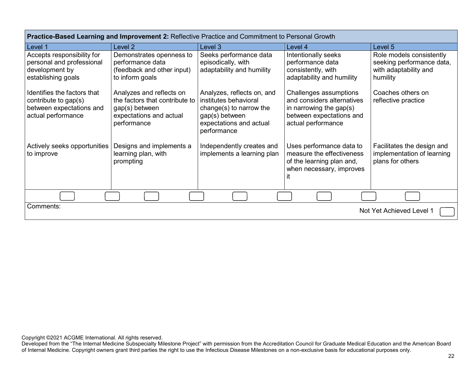| <b>Practice-Based Learning and Improvement 2:</b> Reflective Practice and Commitment to Personal Growth |                                                                                                                        |                                                                                                                                               |                                                                                                                                      |                                                                                            |  |  |
|---------------------------------------------------------------------------------------------------------|------------------------------------------------------------------------------------------------------------------------|-----------------------------------------------------------------------------------------------------------------------------------------------|--------------------------------------------------------------------------------------------------------------------------------------|--------------------------------------------------------------------------------------------|--|--|
| Level 1                                                                                                 | Level 2                                                                                                                | Level 3                                                                                                                                       | Level 4                                                                                                                              | Level 5                                                                                    |  |  |
| Accepts responsibility for<br>personal and professional<br>development by<br>establishing goals         | Demonstrates openness to<br>performance data<br>(feedback and other input)<br>to inform goals                          | Seeks performance data<br>episodically, with<br>adaptability and humility                                                                     | Intentionally seeks<br>performance data<br>consistently, with<br>adaptability and humility                                           | Role models consistently<br>seeking performance data,<br>with adaptability and<br>humility |  |  |
| Identifies the factors that<br>contribute to gap(s)<br>between expectations and<br>actual performance   | Analyzes and reflects on<br>the factors that contribute to<br>gap(s) between<br>expectations and actual<br>performance | Analyzes, reflects on, and<br>institutes behavioral<br>change $(s)$ to narrow the<br>gap(s) between<br>expectations and actual<br>performance | Challenges assumptions<br>and considers alternatives<br>in narrowing the gap $(s)$<br>between expectations and<br>actual performance | Coaches others on<br>reflective practice                                                   |  |  |
| Actively seeks opportunities<br>to improve                                                              | Designs and implements a<br>learning plan, with<br>prompting                                                           | Independently creates and<br>implements a learning plan                                                                                       | Uses performance data to<br>measure the effectiveness<br>of the learning plan and,<br>when necessary, improves<br>ıt                 | Facilitates the design and<br>implementation of learning<br>plans for others               |  |  |
|                                                                                                         |                                                                                                                        |                                                                                                                                               |                                                                                                                                      |                                                                                            |  |  |
| Comments:                                                                                               |                                                                                                                        |                                                                                                                                               |                                                                                                                                      | Not Yet Achieved Level 1                                                                   |  |  |

**Practice-Based Learning and Improvement 2:** Reflective Practice and Commitment to Personal Growth

Copyright ©2021 ACGME International. All rights reserved.

**The State**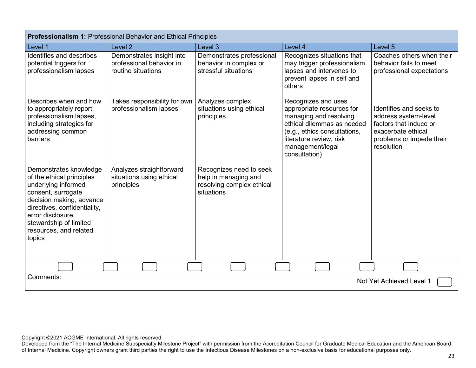| <b>Professionalism 1: Professional Behavior and Ethical Principles</b>                                                                                                                                                                          |                                                                             |                                                                                            |                                                                                                                                                                                                          |                                                                                                                                           |  |  |
|-------------------------------------------------------------------------------------------------------------------------------------------------------------------------------------------------------------------------------------------------|-----------------------------------------------------------------------------|--------------------------------------------------------------------------------------------|----------------------------------------------------------------------------------------------------------------------------------------------------------------------------------------------------------|-------------------------------------------------------------------------------------------------------------------------------------------|--|--|
| Level 1                                                                                                                                                                                                                                         | Level <sub>2</sub>                                                          | Level 3                                                                                    | Level 4                                                                                                                                                                                                  | Level 5                                                                                                                                   |  |  |
| Identifies and describes<br>potential triggers for<br>professionalism lapses                                                                                                                                                                    | Demonstrates insight into<br>professional behavior in<br>routine situations | Demonstrates professional<br>behavior in complex or<br>stressful situations                | Recognizes situations that<br>may trigger professionalism<br>lapses and intervenes to<br>prevent lapses in self and<br>others                                                                            | Coaches others when their<br>behavior fails to meet<br>professional expectations                                                          |  |  |
| Describes when and how<br>to appropriately report<br>professionalism lapses,<br>including strategies for<br>addressing common<br>barriers                                                                                                       | Takes responsibility for own<br>professionalism lapses                      | Analyzes complex<br>situations using ethical<br>principles                                 | Recognizes and uses<br>appropriate resources for<br>managing and resolving<br>ethical dilemmas as needed<br>(e.g., ethics consultations,<br>literature review, risk<br>management/legal<br>consultation) | Identifies and seeks to<br>address system-level<br>factors that induce or<br>exacerbate ethical<br>problems or impede their<br>resolution |  |  |
| Demonstrates knowledge<br>of the ethical principles<br>underlying informed<br>consent, surrogate<br>decision making, advance<br>directives, confidentiality,<br>error disclosure,<br>stewardship of limited<br>resources, and related<br>topics | Analyzes straightforward<br>situations using ethical<br>principles          | Recognizes need to seek<br>help in managing and<br>resolving complex ethical<br>situations |                                                                                                                                                                                                          |                                                                                                                                           |  |  |
|                                                                                                                                                                                                                                                 |                                                                             |                                                                                            |                                                                                                                                                                                                          |                                                                                                                                           |  |  |
| Comments:<br>Not Yet Achieved Level 1                                                                                                                                                                                                           |                                                                             |                                                                                            |                                                                                                                                                                                                          |                                                                                                                                           |  |  |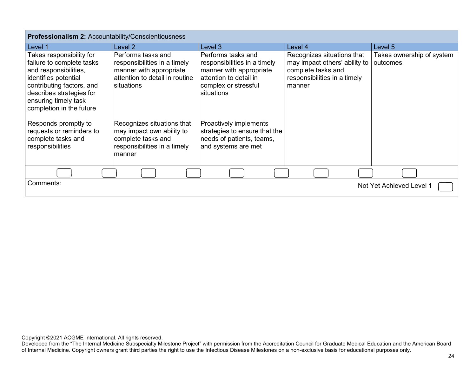| <b>Professionalism 2: Accountability/Conscientiousness</b>                                                                                                                                                          |                                                                                                                               |                                                                                                                                               |                                                                                                                             |                                       |  |
|---------------------------------------------------------------------------------------------------------------------------------------------------------------------------------------------------------------------|-------------------------------------------------------------------------------------------------------------------------------|-----------------------------------------------------------------------------------------------------------------------------------------------|-----------------------------------------------------------------------------------------------------------------------------|---------------------------------------|--|
| Level 1                                                                                                                                                                                                             | Level 2                                                                                                                       | Level 3                                                                                                                                       | Level 4                                                                                                                     | Level 5                               |  |
| Takes responsibility for<br>failure to complete tasks<br>and responsibilities,<br>identifies potential<br>contributing factors, and<br>describes strategies for<br>ensuring timely task<br>completion in the future | Performs tasks and<br>responsibilities in a timely<br>manner with appropriate<br>attention to detail in routine<br>situations | Performs tasks and<br>responsibilities in a timely<br>manner with appropriate<br>attention to detail in<br>complex or stressful<br>situations | Recognizes situations that<br>may impact others' ability to<br>complete tasks and<br>responsibilities in a timely<br>manner | Takes ownership of system<br>outcomes |  |
| Responds promptly to<br>requests or reminders to<br>complete tasks and<br>responsibilities                                                                                                                          | Recognizes situations that<br>may impact own ability to<br>complete tasks and<br>responsibilities in a timely<br>manner       | Proactively implements<br>strategies to ensure that the<br>needs of patients, teams,<br>and systems are met                                   |                                                                                                                             |                                       |  |
|                                                                                                                                                                                                                     |                                                                                                                               |                                                                                                                                               |                                                                                                                             |                                       |  |
| Comments:                                                                                                                                                                                                           |                                                                                                                               |                                                                                                                                               |                                                                                                                             | Not Yet Achieved Level 1              |  |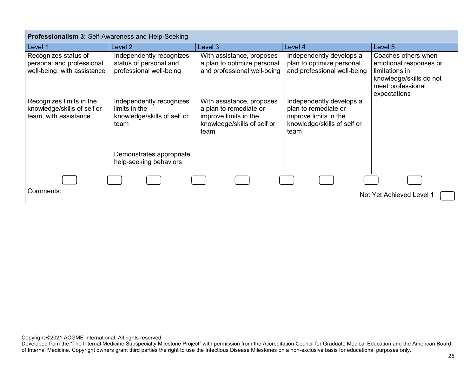| <b>Professionalism 3: Self-Awareness and Help-Seeking</b>                        |                                                                                  |                                                                                                                     |                                                                                                                  |                                                                                                                                 |  |
|----------------------------------------------------------------------------------|----------------------------------------------------------------------------------|---------------------------------------------------------------------------------------------------------------------|------------------------------------------------------------------------------------------------------------------|---------------------------------------------------------------------------------------------------------------------------------|--|
| Level 1                                                                          | Level 2                                                                          | Level 3                                                                                                             | Level 4                                                                                                          | Level 5                                                                                                                         |  |
| Recognizes status of<br>personal and professional<br>well-being, with assistance | Independently recognizes<br>status of personal and<br>professional well-being    | With assistance, proposes<br>a plan to optimize personal<br>and professional well-being                             | Independently develops a<br>plan to optimize personal<br>and professional well-being                             | Coaches others when<br>emotional responses or<br>limitations in<br>knowledge/skills do not<br>meet professional<br>expectations |  |
| Recognizes limits in the<br>knowledge/skills of self or<br>team, with assistance | Independently recognizes<br>limits in the<br>knowledge/skills of self or<br>team | With assistance, proposes<br>a plan to remediate or<br>improve limits in the<br>knowledge/skills of self or<br>team | Independently develops a<br>plan to remediate or<br>improve limits in the<br>knowledge/skills of self or<br>team |                                                                                                                                 |  |
|                                                                                  | Demonstrates appropriate<br>help-seeking behaviors                               |                                                                                                                     |                                                                                                                  |                                                                                                                                 |  |
|                                                                                  |                                                                                  |                                                                                                                     |                                                                                                                  |                                                                                                                                 |  |
| Comments:                                                                        |                                                                                  |                                                                                                                     |                                                                                                                  | Not Yet Achieved Level 1                                                                                                        |  |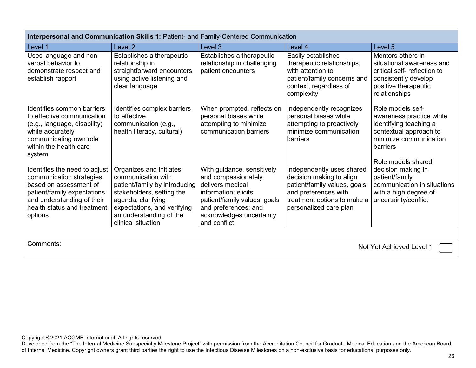| Interpersonal and Communication Skills 1: Patient- and Family-Centered Communication                                                                                                       |                                                                                                                                                                                                                   |                                                                                                                                                                                                   |                                                                                                                                                                         |                                                                                                                                                |  |
|--------------------------------------------------------------------------------------------------------------------------------------------------------------------------------------------|-------------------------------------------------------------------------------------------------------------------------------------------------------------------------------------------------------------------|---------------------------------------------------------------------------------------------------------------------------------------------------------------------------------------------------|-------------------------------------------------------------------------------------------------------------------------------------------------------------------------|------------------------------------------------------------------------------------------------------------------------------------------------|--|
| Level 1                                                                                                                                                                                    | Level <sub>2</sub>                                                                                                                                                                                                | Level <sub>3</sub>                                                                                                                                                                                | Level 4                                                                                                                                                                 | Level <sub>5</sub>                                                                                                                             |  |
| Uses language and non-<br>verbal behavior to<br>demonstrate respect and<br>establish rapport                                                                                               | Establishes a therapeutic<br>relationship in<br>straightforward encounters<br>using active listening and<br>clear language                                                                                        | Establishes a therapeutic<br>relationship in challenging<br>patient encounters                                                                                                                    | Easily establishes<br>therapeutic relationships,<br>with attention to<br>patient/family concerns and<br>context, regardless of<br>complexity                            | Mentors others in<br>situational awareness and<br>critical self-reflection to<br>consistently develop<br>positive therapeutic<br>relationships |  |
| Identifies common barriers<br>to effective communication<br>(e.g., language, disability)<br>while accurately<br>communicating own role<br>within the health care<br>system                 | Identifies complex barriers<br>to effective<br>communication (e.g.,<br>health literacy, cultural)                                                                                                                 | When prompted, reflects on<br>personal biases while<br>attempting to minimize<br>communication barriers                                                                                           | Independently recognizes<br>personal biases while<br>attempting to proactively<br>minimize communication<br>barriers                                                    | Role models self-<br>awareness practice while<br>identifying teaching a<br>contextual approach to<br>minimize communication<br>barriers        |  |
| Identifies the need to adjust<br>communication strategies<br>based on assessment of<br>patient/family expectations<br>and understanding of their<br>health status and treatment<br>options | Organizes and initiates<br>communication with<br>patient/family by introducing<br>stakeholders, setting the<br>agenda, clarifying<br>expectations, and verifying<br>an understanding of the<br>clinical situation | With guidance, sensitively<br>and compassionately<br>delivers medical<br>information; elicits<br>patient/family values, goals<br>and preferences; and<br>acknowledges uncertainty<br>and conflict | Independently uses shared<br>decision making to align<br>patient/family values, goals,<br>and preferences with<br>treatment options to make a<br>personalized care plan | Role models shared<br>decision making in<br>patient/family<br>communication in situations<br>with a high degree of<br>uncertainty/conflict     |  |
|                                                                                                                                                                                            |                                                                                                                                                                                                                   |                                                                                                                                                                                                   |                                                                                                                                                                         |                                                                                                                                                |  |
| Comments:                                                                                                                                                                                  | Not Yet Achieved Level 1                                                                                                                                                                                          |                                                                                                                                                                                                   |                                                                                                                                                                         |                                                                                                                                                |  |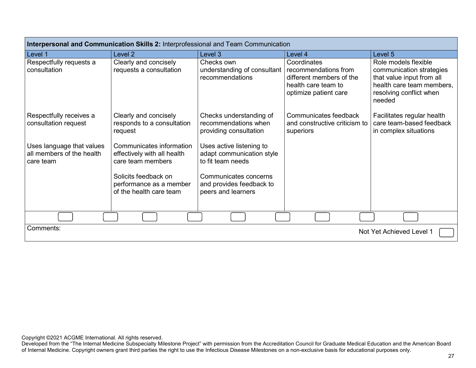| Interpersonal and Communication Skills 2: Interprofessional and Team Communication |                                                                              |                                                                                     |                                                                                         |                                                                                                                                                 |  |
|------------------------------------------------------------------------------------|------------------------------------------------------------------------------|-------------------------------------------------------------------------------------|-----------------------------------------------------------------------------------------|-------------------------------------------------------------------------------------------------------------------------------------------------|--|
| Level 1                                                                            | Level 2                                                                      | Level 3                                                                             | Level 4                                                                                 | Level 5                                                                                                                                         |  |
| Respectfully requests a<br>consultation                                            | Clearly and concisely<br>requests a consultation                             | Checks own<br>understanding of consultant   recommendations from<br>recommendations | Coordinates<br>different members of the<br>health care team to<br>optimize patient care | Role models flexible<br>communication strategies<br>that value input from all<br>health care team members,<br>resolving conflict when<br>needed |  |
| Respectfully receives a<br>consultation request                                    | Clearly and concisely<br>responds to a consultation<br>request               | Checks understanding of<br>recommendations when<br>providing consultation           | Communicates feedback<br>and constructive criticism to<br>superiors                     | Facilitates regular health<br>care team-based feedback<br>in complex situations                                                                 |  |
| Uses language that values<br>all members of the health<br>care team                | Communicates information<br>effectively with all health<br>care team members | Uses active listening to<br>adapt communication style<br>to fit team needs          |                                                                                         |                                                                                                                                                 |  |
|                                                                                    | Solicits feedback on<br>performance as a member<br>of the health care team   | Communicates concerns<br>and provides feedback to<br>peers and learners             |                                                                                         |                                                                                                                                                 |  |
|                                                                                    |                                                                              |                                                                                     |                                                                                         |                                                                                                                                                 |  |
| Comments:<br>Not Yet Achieved Level 1                                              |                                                                              |                                                                                     |                                                                                         |                                                                                                                                                 |  |